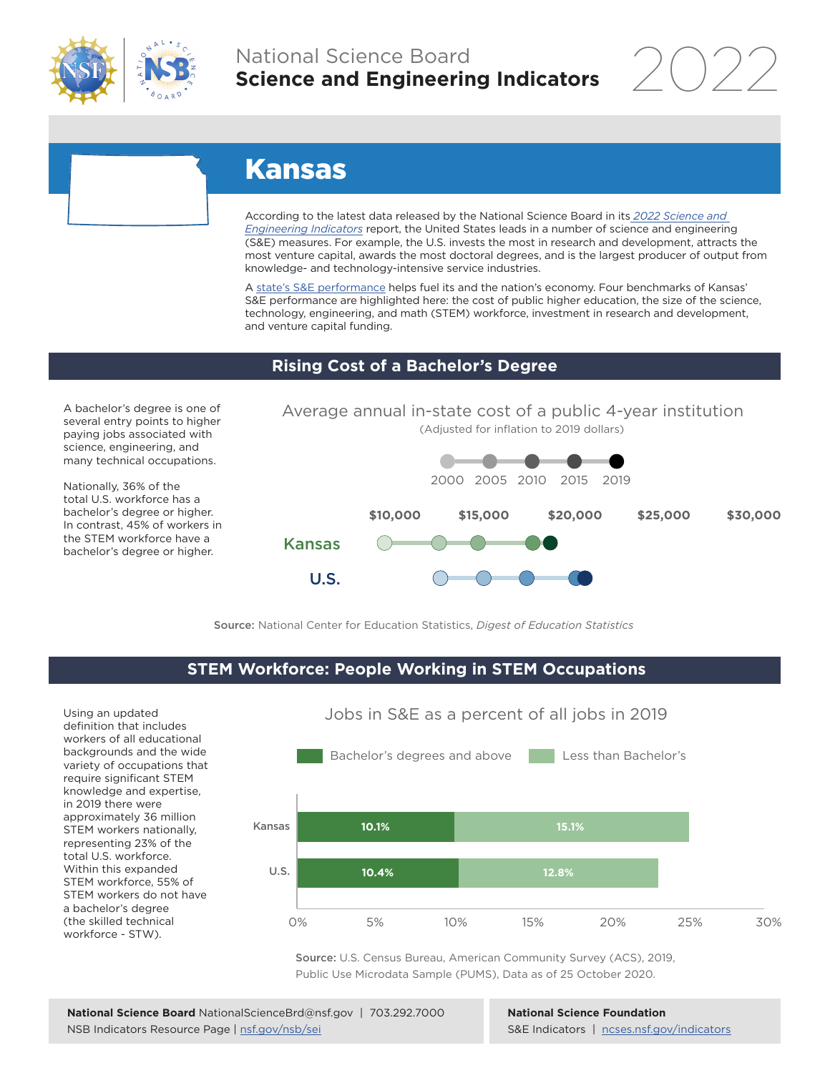

## National Science Board **Science and Engineering Indicators**

2022

# Kansas

According to the latest data released by the National Science Board in its *2022 Science and Engineering Indicators* report, the United States leads in a number of science and engineering (S&E) measures. For example, the U.S. invests the most in research and development, attracts the most venture capital, awards the most doctoral degrees, and is the largest producer of output from knowledge- and technology-intensive service industries.

A state's S&E performance helps fuel its and the nation's economy. Four benchmarks of Kansas' S&E performance are highlighted here: the cost of public higher education, the size of the science, technology, engineering, and math (STEM) workforce, investment in research and development, and venture capital funding.

Average annual in-state cost of a public 4-year institution

#### **Rising Cost of a Bachelor's Degree**

A bachelor's degree is one of several entry points to higher paying jobs associated with science, engineering, and many technical occupations.

Nationally, 36% of the total U.S. workforce has a bachelor's degree or higher. In contrast, 45% of workers in the STEM workforce have a bachelor's degree or higher.



Source: National Center for Education Statistics, *Digest of Education Statistics*

#### **STEM Workforce: People Working in STEM Occupations**

Using an updated definition that includes workers of all educational backgrounds and the wide variety of occupations that require significant STEM knowledge and expertise, in 2019 there were approximately 36 million STEM workers nationally, representing 23% of the total U.S. workforce. Within this expanded STEM workforce, 55% of STEM workers do not have a bachelor's degree (the skilled technical workforce - STW).



Source: U.S. Census Bureau, American Community Survey (ACS), 2019, Public Use Microdata Sample (PUMS), Data as of 25 October 2020.

**National Science Foundation** S&E Indicators | ncses.nsf.gov/indicators

#### Jobs in S&E as a percent of all jobs in 2019